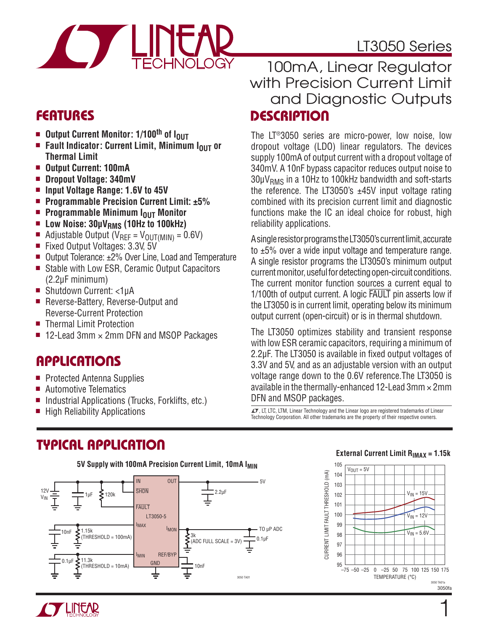

### LT3050 Series

### **FEATURES**

- Output Current Monitor: 1/100<sup>th</sup> of I<sub>OUT</sub>
- **n** Fault Indicator: Current Limit, Minimum I<sub>OUT</sub> or **Thermal Limit**
- <sup>n</sup> **Output Current: 100mA**
- Dropout Voltage: 340mV
- Input Voltage Range: **1.6V** to 45V
- Programmable Precision Current Limit: ±5%
- **n** Programmable Minimum I<sub>OUT</sub> Monitor
- **E** Low Noise: 30μV<sub>RMS</sub> (10Hz to 100kHz)
- Adjustable Output ( $V_{REF} = V_{OUT(MIN)} = 0.6V$ )<br>Fixed Output Voltages: 3.3V, 5V
- Fixed Output Voltages: 3.3V, 5V
- Output Tolerance: ±2% Over Line, Load and Temperature
- Stable with Low ESR, Ceramic Output Capacitors (2.2μF minimum)
- Shutdown Current: <1µA
- Reverse-Battery, Reverse-Output and Reverse-Current Protection
- Thermal Limit Protection
- 12-Lead 3mm  $\times$  2mm DFN and MSOP Packages

### **APPLICATIONS**

- **Protected Antenna Supplies**
- Automotive Telematics
- $\blacksquare$  Industrial Applications (Trucks, Forklifts, etc.)
- $\blacksquare$  High Reliability Applications

### **DESCRIPTION** 100mA, Linear Regulator with Precision Current Limit and Diagnostic Outputs

The LT®3050 series are micro-power, low noise, low dropout voltage (LDO) linear regulators. The devices supply 100mA of output current with a dropout voltage of 340mV. A 10nF bypass capacitor reduces output noise to  $30\mu V<sub>RMS</sub>$  in a 10Hz to 100kHz bandwidth and soft-starts the reference. The LT3050's  $\pm$ 45V input voltage rating combined with its precision current limit and diagnostic functions make the IC an ideal choice for robust, high reliability applications.

A single resistor programs the LT3050's current limit, accurate to ±5% over a wide input voltage and temperature range. A single resistor programs the LT3050's minimum output current monitor, useful for detecting open-circuit conditions. The current monitor function sources a current equal to 1/100th of output current. A logic FAULT pin asserts low if the LT3050 is in current limit, operating below its minimum output current (open-circuit) or is in thermal shutdown.

The LT3050 optimizes stability and transient response with low ESR ceramic capacitors, requiring a minimum of 2.2µF. The LT3050 is available in fixed output voltages of 3.3V and 5V, and as an adjustable version with an output voltage range down to the 0.6V reference.The LT3050 is available in the thermally-enhanced 12-Lead  $3$ mm  $\times$  2mm DFN and MSOP packages.

 $LT$ , LT, LTC, LTM, Linear Technology and the Linear logo are registered trademarks of Linear Technology Corporation. All other trademarks are the property of their respective owners.

### **TYPICAL APPLICATION**



#### **External Current Limit RIMAX = 1.15k**





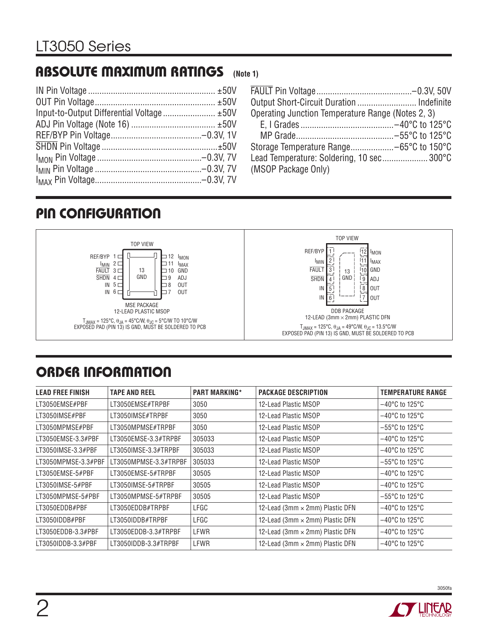#### **ABSOLUTE MAXIMUM RATINGS (Note 1)**

| Output Short-Circuit Duration  Indefinite         |  |
|---------------------------------------------------|--|
| Operating Junction Temperature Range (Notes 2, 3) |  |
|                                                   |  |
|                                                   |  |
| Storage Temperature Range-65°C to 150°C           |  |
| Lead Temperature: Soldering, 10 sec300°C          |  |
| (MSOP Package Only)                               |  |

# **PIN CONFIGURATION**



# **ORDER INFORMATION**

| <b>LEAD FREE FINISH</b> | <b>TAPE AND REEL</b>  | <b>PART MARKING*</b> | <b>PACKAGE DESCRIPTION</b>      | <b>TEMPERATURE RANGE</b>            |
|-------------------------|-----------------------|----------------------|---------------------------------|-------------------------------------|
| LT3050EMSE#PBF          | LT3050EMSE#TRPBF      | 3050                 | 12-Lead Plastic MSOP            | $-40^{\circ}$ C to 125 $^{\circ}$ C |
| LT3050IMSE#PBF          | LT3050IMSE#TRPBF      | 3050                 | 12-Lead Plastic MSOP            | $-40^{\circ}$ C to 125 $^{\circ}$ C |
| LT3050MPMSE#PBF         | LT3050MPMSE#TRPBF     | 3050                 | 12-Lead Plastic MSOP            | $-55^{\circ}$ C to 125 $^{\circ}$ C |
| LT3050EMSE-3.3#PBF      | LT3050EMSE-3.3#TRPBF  | 305033               | 12-Lead Plastic MSOP            | $-40^{\circ}$ C to 125 $^{\circ}$ C |
| LT3050IMSE-3.3#PBF      | LT3050IMSE-3.3#TRPBF  | 305033               | 12-Lead Plastic MSOP            | $-40^{\circ}$ C to 125 $^{\circ}$ C |
| LT3050MPMSE-3.3#PBF     | LT3050MPMSE-3.3#TRPBF | 305033               | 12-Lead Plastic MSOP            | $-55^{\circ}$ C to 125 $^{\circ}$ C |
| LT3050EMSE-5#PBF        | LT3050EMSE-5#TRPBF    | 30505                | 12-Lead Plastic MSOP            | $-40^{\circ}$ C to 125 $^{\circ}$ C |
| LT3050IMSE-5#PBF        | LT3050IMSE-5#TRPBF    | 30505                | 12-Lead Plastic MSOP            | $-40^{\circ}$ C to 125 $^{\circ}$ C |
| LT3050MPMSE-5#PBF       | LT3050MPMSE-5#TRPBF   | 30505                | 12-Lead Plastic MSOP            | $-55^{\circ}$ C to 125 $^{\circ}$ C |
| LT3050EDDB#PBF          | LT3050EDDB#TRPBF      | LFGC                 | 12-Lead (3mm × 2mm) Plastic DFN | $-40^{\circ}$ C to 125°C            |
| LT3050IDDB#PBF          | LT3050IDDB#TRPBF      | LFGC                 | 12-Lead (3mm × 2mm) Plastic DFN | $-40^{\circ}$ C to 125 $^{\circ}$ C |
| LT3050EDDB-3.3#PBF      | LT3050EDDB-3.3#TRPBF  | LFWR                 | 12-Lead (3mm × 2mm) Plastic DFN | $-40^{\circ}$ C to 125 $^{\circ}$ C |
| LT3050IDDB-3.3#PBF      | LT3050IDDB-3.3#TRPBF  | LFWR                 | 12-Lead (3mm × 2mm) Plastic DFN | $-40^{\circ}$ C to 125 $^{\circ}$ C |

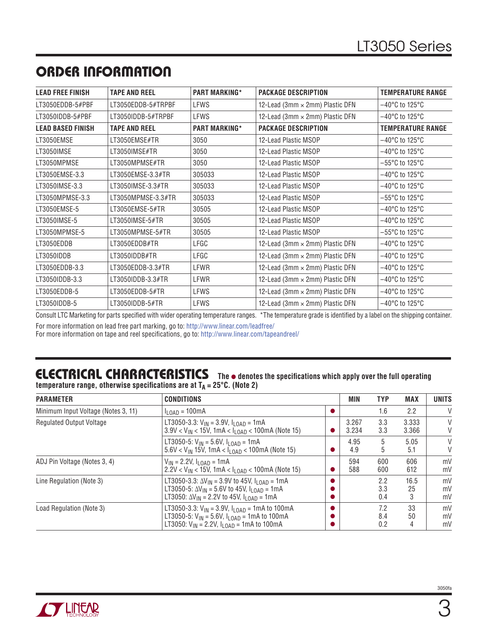# **ORDER INFORMATION**

| <b>LEAD FREE FINISH</b>  | <b>TAPE AND REEL</b> | <b>PART MARKING*</b> | <b>PACKAGE DESCRIPTION</b>      | <b>TEMPERATURE RANGE</b>            |
|--------------------------|----------------------|----------------------|---------------------------------|-------------------------------------|
| LT3050EDDB-5#PBF         | LT3050EDDB-5#TRPBF   | <b>LFWS</b>          | 12-Lead (3mm × 2mm) Plastic DFN | $-40^{\circ}$ C to 125 $^{\circ}$ C |
| LT3050IDDB-5#PBF         | LT3050IDDB-5#TRPBF   | <b>LFWS</b>          | 12-Lead (3mm × 2mm) Plastic DFN | $-40^{\circ}$ C to 125°C            |
| <b>LEAD BASED FINISH</b> | <b>TAPE AND REEL</b> | <b>PART MARKING*</b> | <b>PACKAGE DESCRIPTION</b>      | <b>TEMPERATURE RANGE</b>            |
| LT3050EMSE               | LT3050EMSE#TR        | 3050                 | 12-Lead Plastic MSOP            | $-40^{\circ}$ C to 125 $^{\circ}$ C |
| LT3050IMSE               | LT3050IMSE#TR        | 3050                 | 12-Lead Plastic MSOP            | $-40^{\circ}$ C to 125 $^{\circ}$ C |
| LT3050MPMSE              | LT3050MPMSE#TR       | 3050                 | 12-Lead Plastic MSOP            | $-55^{\circ}$ C to 125 $^{\circ}$ C |
| LT3050EMSE-3.3           | LT3050EMSE-3.3#TR    | 305033               | 12-Lead Plastic MSOP            | $-40^{\circ}$ C to 125 $^{\circ}$ C |
| LT3050IMSE-3.3           | LT3050IMSE-3.3#TR    | 305033               | 12-Lead Plastic MSOP            | $-40^{\circ}$ C to 125 $^{\circ}$ C |
| LT3050MPMSE-3.3          | LT3050MPMSE-3.3#TR   | 305033               | 12-Lead Plastic MSOP            | $-55^{\circ}$ C to 125 $^{\circ}$ C |
| LT3050EMSE-5             | LT3050EMSE-5#TR      | 30505                | 12-Lead Plastic MSOP            | $-40^{\circ}$ C to 125 $^{\circ}$ C |
| LT3050IMSE-5             | LT3050IMSE-5#TR      | 30505                | 12-Lead Plastic MSOP            | $-40^{\circ}$ C to 125°C            |
| LT3050MPMSE-5            | LT3050MPMSE-5#TR     | 30505                | 12-Lead Plastic MSOP            | $-55^{\circ}$ C to 125°C            |
| LT3050EDDB               | LT3050EDDB#TR        | LFGC                 | 12-Lead (3mm × 2mm) Plastic DFN | $-40^{\circ}$ C to 125°C            |
| LT3050IDDB               | LT3050IDDB#TR        | LFGC                 | 12-Lead (3mm × 2mm) Plastic DFN | $-40^{\circ}$ C to 125°C            |
| LT3050EDDB-3.3           | LT3050EDDB-3.3#TR    | LFWR                 | 12-Lead (3mm × 2mm) Plastic DFN | $-40^{\circ}$ C to 125°C            |
| LT3050IDDB-3.3           | LT3050IDDB-3.3#TR    | LFWR                 | 12-Lead (3mm × 2mm) Plastic DFN | $-40^{\circ}$ C to 125 $^{\circ}$ C |
| LT3050EDDB-5             | LT3050EDDB-5#TR      | LFWS                 | 12-Lead (3mm × 2mm) Plastic DFN | $-40^{\circ}$ C to 125°C            |
| LT3050IDDB-5             | LT3050IDDB-5#TR      | <b>LFWS</b>          | 12-Lead (3mm × 2mm) Plastic DFN | $-40^{\circ}$ C to 125°C            |

Consult LTC Marketing for parts specified with wider operating temperature ranges. \*The temperature grade is identified by a label on the shipping container. For more information on lead free part marking, go to: http://www.linear.com/leadfree/

For more information on tape and reel specifications, go to: http://www.linear.com/tapeandreel/

### **ELECTRICAL CHARACTERISTICS** The  $\bullet$  denotes the specifications which apply over the full operating temperature range, otherwise specifications are at T<sub>A</sub> = 25°C. (Note 2)

| <b>PARAMETER</b>                    | <b>CONDITIONS</b>                                                                                                                                                                         |  |                | <b>TYP</b>        | <b>MAX</b>      | <b>UNITS</b>   |
|-------------------------------------|-------------------------------------------------------------------------------------------------------------------------------------------------------------------------------------------|--|----------------|-------------------|-----------------|----------------|
| Minimum Input Voltage (Notes 3, 11) | $I_{\text{LOAD}} = 100 \text{mA}$                                                                                                                                                         |  |                | 1.6               | 2.2             | V              |
| <b>Regulated Output Voltage</b>     | LT3050-3.3: $V_{IN}$ = 3.9V, $I_{I}$ <sub>OAD</sub> = 1mA<br>$3.9$ V < V <sub>IN</sub> < 15V, 1mA < I <sub>I 0AD</sub> < 100mA (Note 15)                                                  |  | 3.267<br>3.234 | 3.3<br>3.3        | 3.333<br>3.366  | V<br>V         |
|                                     | LT3050-5: $V_{IN}$ = 5.6V, $I_{I OAD}$ = 1mA<br>$5.6$ V < V <sub>IN</sub> 15V, 1mA < I <sub>LOAD</sub> < 100mA (Note 15)                                                                  |  | 4.95<br>4.9    | 5<br>5            | 5.05<br>5.1     | V<br>V         |
| ADJ Pin Voltage (Notes 3, 4)        | $V_{IN}$ = 2.2V, $I_{LOAD}$ = 1mA<br>$2.2$ V < V <sub>IN</sub> < 15V, 1mA < I <sub>LOAD</sub> < 100mA (Note 15)                                                                           |  | 594<br>588     | 600<br>600        | 606<br>612      | mV<br>mV       |
| Line Regulation (Note 3)            | LT3050-3.3: $\Delta V_{IN}$ = 3.9V to 45V, $I_{I \cap AD}$ = 1mA<br>LT3050-5: $\Delta V_{IN}$ = 5.6V to 45V, $I_{I OAD}$ = 1mA<br>LT3050: $\Delta V_{1N}$ = 2.2V to 45V, $I_{1OAD}$ = 1mA |  |                | 2.2<br>3.3<br>0.4 | 16.5<br>25<br>3 | mV<br>mV<br>mV |
| Load Regulation (Note 3)            | LT3050-3.3: $V_{IN}$ = 3.9V, $I_{LOAD}$ = 1mA to 100mA<br>LT3050-5: $V_{IN}$ = 5.6V, $I_{I OAD}$ = 1mA to 100mA<br>LT3050: $V_{IN}$ = 2.2V, $I_{I}$ $OAD$ = 1mA to 100mA                  |  |                | 7.2<br>8.4<br>0.2 | 33<br>50<br>4   | mV<br>mV<br>mV |

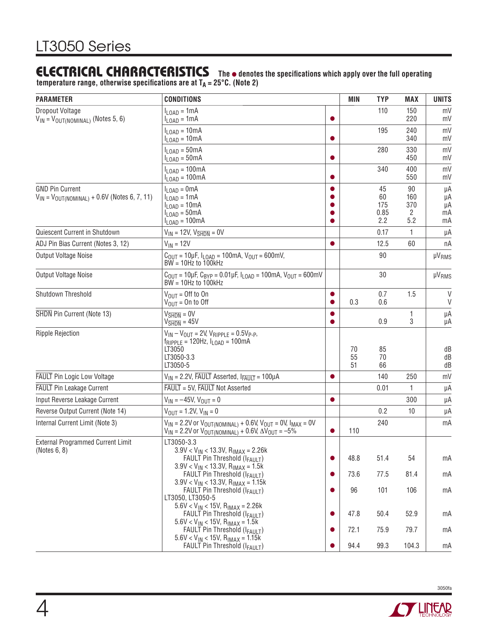#### **ELECTRICAL CHARACTERISTICS** The  $\bullet$  denotes the specifications which apply over the full operating temperature range, otherwise specifications are at T<sub>A</sub> = 25°C. (Note 2)

| <b>PARAMETER</b>                                                                | <b>CONDITIONS</b>                                                                                                                                        |           |                | <b>TYP</b>                     | <b>MAX</b>                   | <b>UNITS</b>               |
|---------------------------------------------------------------------------------|----------------------------------------------------------------------------------------------------------------------------------------------------------|-----------|----------------|--------------------------------|------------------------------|----------------------------|
| Dropout Voltage<br>$V_{IN} = V_{OUT(NOMINAL)}$ (Notes 5, 6)                     | $I_{\text{LOAD}} = 1 \text{mA}$<br>$I_{LOAD} = 1mA$                                                                                                      |           |                | 110                            | 150<br>220                   | mV<br>mV                   |
|                                                                                 | $I_{\text{LOAD}} = 10 \text{mA}$<br>$I_{LOAD} = 10mA$                                                                                                    |           |                | 195                            | 240<br>340                   | mV<br>mV                   |
|                                                                                 | $I_{\text{LOAD}} = 50 \text{mA}$<br>$I_{\text{LOAD}} = 50 \text{mA}$                                                                                     |           |                | 280                            | 330<br>450                   | mV<br>mV                   |
|                                                                                 | $I_{\text{LOAD}} = 100 \text{mA}$<br>$I_{LOAD} = 100mA$                                                                                                  |           |                | 340                            | 400<br>550                   | mV<br>mV                   |
| <b>GND Pin Current</b><br>$V_{IN}$ = $V_{OUT(NOMINAL)}$ + 0.6V (Notes 6, 7, 11) | $I_{\text{LOAD}} = 0 \text{mA}$<br>$I_{LOAD} = 1mA$<br>$I_{LOAD} = 10mA$<br>$I_{\text{LOAD}} = 50 \text{mA}$<br>$I_{LOAD} = 100mA$                       |           |                | 45<br>60<br>175<br>0.85<br>2.2 | 90<br>160<br>370<br>2<br>5.2 | μA<br>μA<br>μA<br>mA<br>mA |
| Quiescent Current in Shutdown                                                   | $V_{IN}$ = 12V, $V_{\overline{SHDN}}$ = 0V                                                                                                               |           |                | 0.17                           | 1                            | μA                         |
| ADJ Pin Bias Current (Notes 3, 12)                                              | $V_{IN} = 12V$                                                                                                                                           | ●         |                | 12.5                           | 60                           | пA                         |
| Output Voltage Noise                                                            | $C_{\text{OUT}} = 10 \mu F$ , $I_{\text{LOAD}} = 100 \text{mA}$ , $V_{\text{OUT}} = 600 \text{mV}$ ,<br>$BW = 10Hz$ to $100kHz$                          |           |                | 90                             |                              | <b>µVRMS</b>               |
| Output Voltage Noise                                                            | $C_{OIII}$ = 10µF, $C_{BYP}$ = 0.01µF, $I_{I OAD}$ = 100mA, $V_{OIII}$ = 600mV<br>$BW = 10Hz$ to 100kHz                                                  |           |                | 30                             |                              | <b>µVRMS</b>               |
| Shutdown Threshold                                                              | $V_{OIII} =$ Off to On<br>$V_{\text{OUT}} =$ On to Off                                                                                                   | ●         |                | 0.7<br>0.6                     | 1.5                          | V<br>V                     |
| SHDN Pin Current (Note 13)                                                      | $V_{\overline{\text{SHDN}}} = 0V$<br>$V\overline{\text{SHDN}} = 45V$                                                                                     |           |                | 0.9                            | 1<br>3                       | μA<br>μA                   |
| <b>Ripple Rejection</b>                                                         | $V_{IN} - V_{OUT} = 2V$ , $V_{RIPPLE} = 0.5V_{P-P}$ ,<br>$f_{RIPPLE}$ = 120Hz, $I_{LOAD}$ = 100mA<br>LT3050<br>LT3050-3.3<br>LT3050-5                    |           | 70<br>55<br>51 | 85<br>70<br>66                 |                              | dB<br>dB<br>dB             |
| <b>FAULT</b> Pin Logic Low Voltage                                              | $V_{IN}$ = 2.2V, FAULT Asserted, $I_{FAULT}$ = 100µA                                                                                                     |           |                | 140                            | 250                          | mV                         |
| <b>FAULT</b> Pin Leakage Current                                                | FAULT = 5V, FAULT Not Asserted                                                                                                                           |           |                | 0.01                           | 1                            | μA                         |
| Input Reverse Leakage Current                                                   | $V_{IN} = -45V$ , $V_{OUT} = 0$                                                                                                                          | $\bullet$ |                |                                | 300                          | μA                         |
| Reverse Output Current (Note 14)                                                | $V_{\text{OUT}} = 1.2V, V_{\text{IN}} = 0$                                                                                                               |           |                | 0.2                            | 10                           | μA                         |
| Internal Current Limit (Note 3)                                                 | $V_{IN}$ = 2.2V or $V_{OUT(NOMINAL)} + 0.6V$ , $V_{OUT} = 0V$ , $I_{MAX} = 0V$<br>$V_{IN}$ = 2.2V or $V_{OUT(NOMINAL)} + 0.6V$ , $\Delta V_{OUT} = -5\%$ |           | 110            | 240                            |                              | mA                         |
| <b>External Programmed Current Limit</b><br>(Notes 6, 8)                        | LT3050-3.3<br>$3.9V < V_{IN} < 13.3V$ , $R_{IMAX} = 2.26k$<br>FAULT Pin Threshold (IFAULT)<br>$3.9V < V_{IN} < 13.3V$ , $R_{IMAX} = 1.5k$                | $\bullet$ | 48.8           | 51.4                           | 54                           | mA                         |
|                                                                                 | FAULT Pin Threshold (IFAULT)                                                                                                                             |           | 73.6           | 77.5                           | 81.4                         | mA                         |
|                                                                                 | $3.9V < V_{IN} < 13.3V$ , R <sub>IMAX</sub> = 1.15k<br>FAULT Pin Threshold (IFAULT)<br>LT3050, LT3050-5                                                  |           | 96             | 101                            | 106                          | mA                         |
|                                                                                 | $5.6V < V_{IN} < 15V$ , R <sub>IMAX</sub> = 2.26k<br>FAULT Pin Threshold (IFAULT)                                                                        |           | 47.8           | 50.4                           | 52.9                         | mA                         |
|                                                                                 | $5.6V < V_{IN} < 15V$ , R <sub>IMAX</sub> = 1.5k<br>FAULT Pin Threshold (IFAULT)<br>$5.6$ V < V <sub>IN</sub> < 15V, R <sub>IMAX</sub> = 1.15k           |           | 72.1           | 75.9                           | 79.7                         | mA                         |
|                                                                                 | <b>FAULT Pin Threshold (IFAULT)</b>                                                                                                                      |           | 94.4           | 99.3                           | 104.3                        | mA                         |

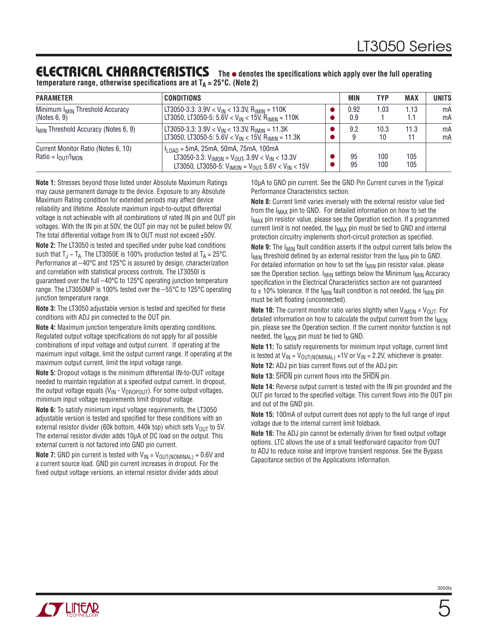#### **ELECTRICAL CHARACTERISTICS** The  $\bullet$  denotes the specifications which apply over the full operating **temperature range, otherwise specifications are at**  $T_A = 25^{\circ}C$ **. (Note 2)**

| <b>PARAMETER</b>                                            | <b>CONDITIONS</b>                                                                                                                                                         | MIN         | <b>TYP</b> | <b>MAX</b>  | <b>UNITS</b> |
|-------------------------------------------------------------|---------------------------------------------------------------------------------------------------------------------------------------------------------------------------|-------------|------------|-------------|--------------|
| Minimum I <sub>MIN</sub> Threshold Accuracy<br>(Notes 6, 9) | LT3050-3.3: 3.9V < $V_{IN}$ < 13.3V, R <sub>IMIN</sub> = 110K<br>LT3050, LT3050-5: 5.6V < $V_{IN}$ < 15V, R <sub>IMIN</sub> = 110K                                        | 0.92<br>0.9 | 1.03       | 1.13<br>1.1 | mA<br>mA     |
| I <sub>MIN</sub> Threshold Accuracy (Notes 6, 9)            | LT3050-3.3: 3.9V < V <sub>IN</sub> < 13.3V, R <sub>IMIN</sub> = 11.3K<br>LT3050, LT3050-5: 5.6V < $V_{IN}$ < 15V, R <sub>IMIN</sub> = 11.3K                               | 9.2         | 10.3<br>10 | 11.3<br>11  | mA<br>mA     |
| Current Monitor Ratio (Notes 6, 10)<br>$Ratio = IOUT/IMON$  | $I_{10AD}$ = 5mA, 25mA, 50mA, 75mA, 100mA<br>LT3050-3.3: $V_{IMON} = V_{OUT}$ , 3.9V < $V_{IN}$ < 13.3V<br>LT3050, LT3050-5: $V_{IMON} = V_{OUT}$ , 5.6V < $V_{IN}$ < 15V | 95<br>95    | 100<br>100 | 105<br>105  |              |

**Note 1:** Stresses beyond those listed under Absolute Maximum Ratings may cause permanent damage to the device. Exposure to any Absolute Maximum Rating condition for extended periods may affect device reliability and lifetime. Absolute maximum input-to-output differential voltage is not achievable with all combinations of rated IN pin and OUT pin voltages. With the IN pin at 50V, the OUT pin may not be pulled below 0V. The total differential voltage from IN to OUT must not exceed ±50V.

Note 2: The LT3050 is tested and specified under pulse load conditions such that  $T_J \sim T_A$ . The LT3050E is 100% production tested at  $T_A = 25^{\circ}$ C. Performance at –40°C and 125°C is assured by design, characterization and correlation with statistical process controls. The LT3050I is guaranteed over the full –40°C to 125°C operating junction temperature range. The LT3050MP is 100% tested over the –55°C to 125°C operating junction temperature range.

**Note 3:** The LT3050 adjustable version is tested and specified for these conditions with ADJ pin connected to the OUT pin.

**Note 4:** Maximum junction temperature limits operating conditions. Regulated output voltage specifications do not apply for all possible combinations of input voltage and output current. If operating at the maximum input voltage, limit the output current range. If operating at the maximum output current, limit the input voltage range.

**Note 5:** Dropout voltage is the minimum differential IN-to-OUT voltage needed to maintain regulation at a specified output current. In dropout, the output voltage equals ( $V_{IN}$  -  $V_{DROPOUT}$ ). For some output voltages, minimum input voltage requirements limit dropout voltage.

**Note 6:** To satisfy minimum input voltage requirements, the LT3050 adjustable version is tested and specified for these conditions with an external resistor divider (60k bottom, 440k top) which sets  $V_{\text{OUT}}$  to 5V. The external resistor divider adds 10μA of DC load on the output. This external current is not factored into GND pin current.

**Note 7:** GND pin current is tested with  $V_{IN} = V_{OUT(NOMINAL)} + 0.6V$  and a current source load. GND pin current increases in dropout. For the fixed output voltage versions, an internal resistor divider adds about

10μA to GND pin current. See the GND Pin Current curves in the Typical Performance Characteristics section.

**Note 8:** Current limit varies inversely with the external resistor value tied from the  $I_{MAX}$  pin to GND. For detailed information on how to set the I<sub>MAX</sub> pin resistor value, please see the Operation section. If a programmed current limit is not needed, the  $I_{MAX}$  pin must be tied to GND and internal protection circuitry implements short-circuit protection as specified.

**Note 9:** The I<sub>MIN</sub> fault condition asserts if the output current falls below the  $I_{MIN}$  threshold defined by an external resistor from the  $I_{MIN}$  pin to GND. For detailed information on how to set the I<sub>MIN</sub> pin resistor value, please see the Operation section.  $I_{MIN}$  settings below the Minimum  $I_{MIN}$  Accuracy specification in the Electrical Characteristics section are not guaranteed to  $\pm$  10% tolerance. If the  $I_{\text{MIN}}$  fault condition is not needed, the  $I_{\text{MIN}}$  pin must be left floating (unconnected).

**Note 10:** The current monitor ratio varies slightly when  $V_{IMON} \neq V_{OUT}$ . For detailed information on how to calculate the output current from the  $I_{MON}$ pin, please see the Operation section. If the current monitor function is not needed, the I<sub>MON</sub> pin must be tied to GND.

**Note 11:** To satisfy requirements for minimum input voltage, current limit is tested at  $V_{IN} = V_{OUT(NOMINAL)} + 1V$  or  $V_{IN} = 2.2V$ , whichever is greater.

**Note 12:** ADJ pin bias current flows out of the ADJ pin:

**Note 13:** SHDN pin current flows into the SHDN pin.

**Note 14:** Reverse output current is tested with the IN pin grounded and the OUT pin forced to the specified voltage. This current flows into the OUT pin and out of the GND pin.

**Note 15:** 100mA of output current does not apply to the full range of input voltage due to the internal current limit foldback.

**Note 16:** The ADJ pin cannot be externally driven for fixed output voltage options. LTC allows the use of a small feedforward capacitor from OUT to ADJ to reduce noise and improve transient response. See the Bypass Capacitance section of the Applications Information.

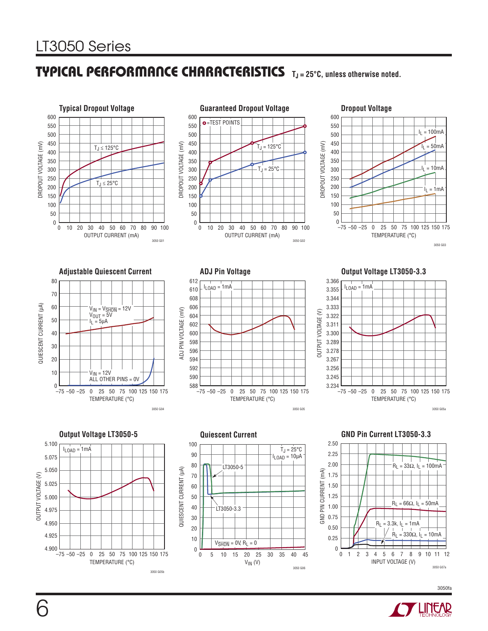

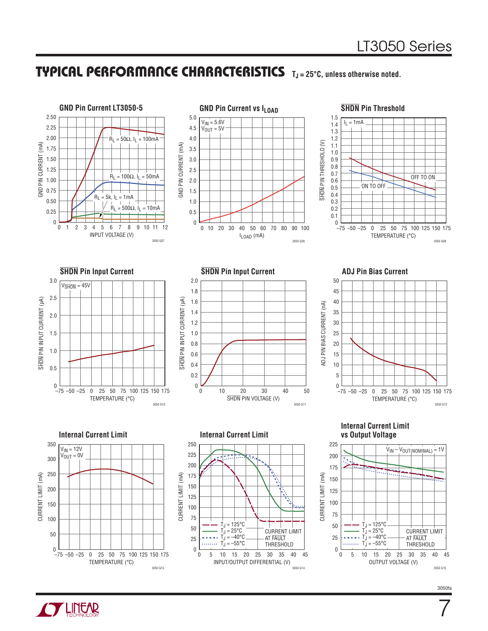

**TLINEAR** 



7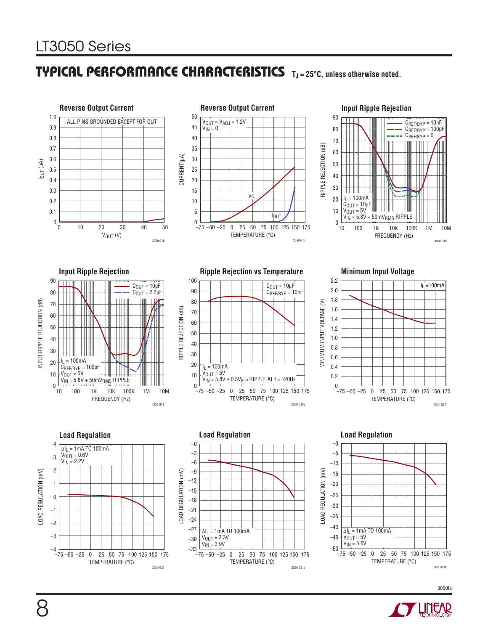# LT3050 Series

### **TYPICAL PERFORMANCE CHARACTERISTICS TJ = 25°C, unless otherwise noted.**





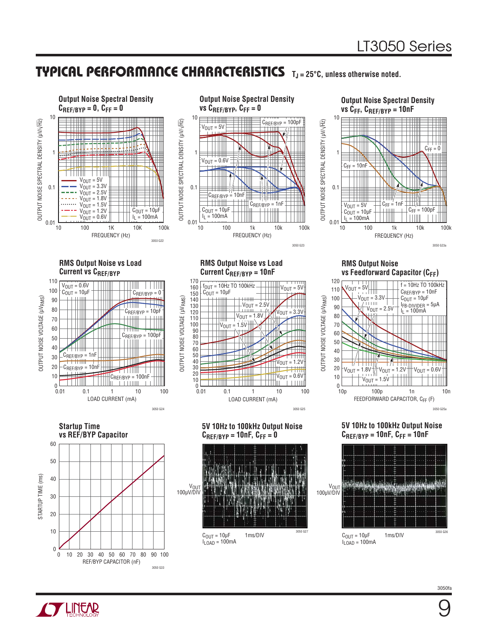

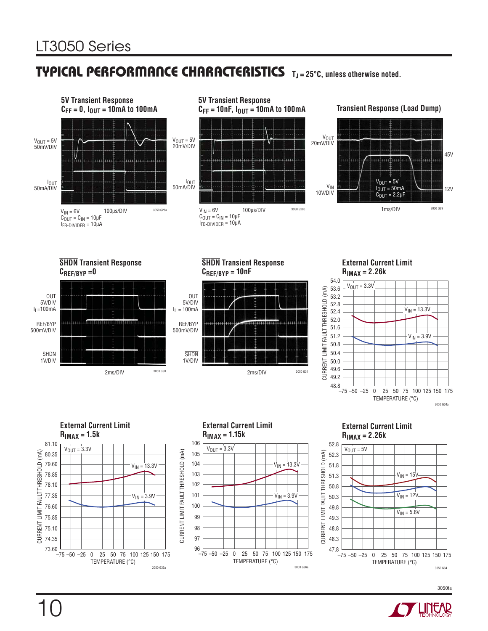





#### **External Current Limit RIMAX = 2.26k**





#### **External Current Limit RIMAX = 2.26k**



3050fa



10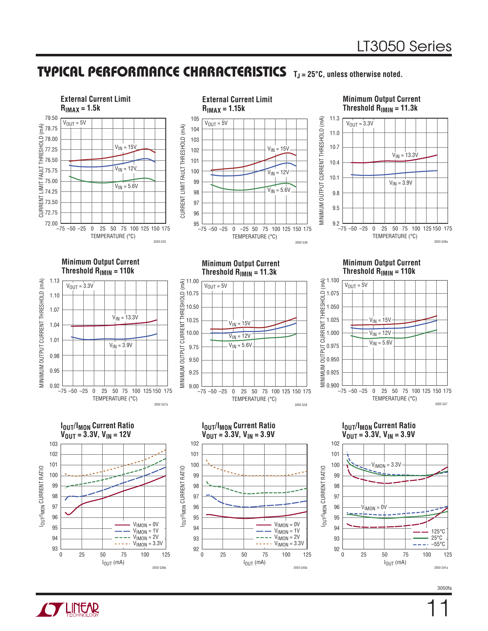

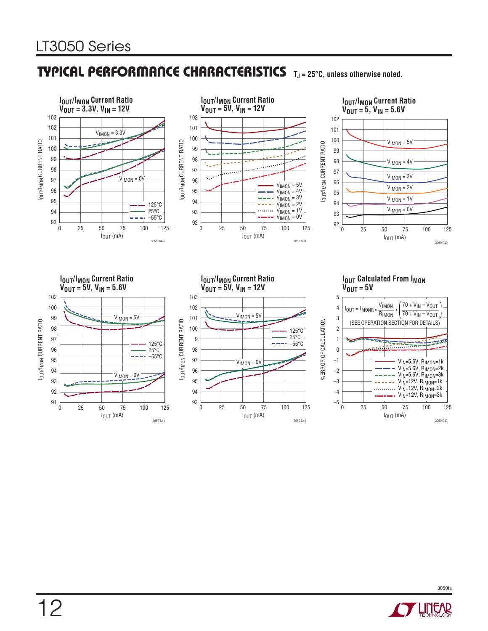



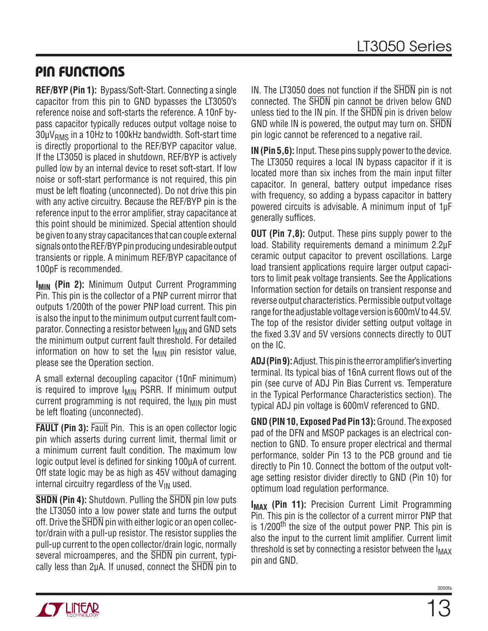### **PIN FUNCTIONS**

**REF/BYP (Pin 1):** Bypass/Soft-Start. Connecting a single capacitor from this pin to GND bypasses the LT3050's reference noise and soft-starts the reference. A 10nF bypass capacitor typically reduces output voltage noise to  $30\mu V<sub>RMS</sub>$  in a 10Hz to 100kHz bandwidth. Soft-start time is directly proportional to the REF/BYP capacitor value. If the LT3050 is placed in shutdown, REF/BYP is actively pulled low by an internal device to reset soft-start. If low noise or soft-start performance is not required, this pin must be left floating (unconnected). Do not drive this pin with any active circuitry. Because the REF/BYP pin is the reference input to the error amplifier, stray capacitance at this point should be minimized. Special attention should be given to any stray capacitances that can couple external signals onto the REF/BYP pin producing undesirable output transients or ripple. A minimum REF/BYP capacitance of 100pF is recommended.

**IMIN (Pin 2):** Minimum Output Current Programming Pin. This pin is the collector of a PNP current mirror that outputs 1/200th of the power PNP load current. This pin is also the input to the minimum output current fault comparator. Connecting a resistor between I<sub>MIN</sub> and GND sets the minimum output current fault threshold. For detailed information on how to set the  $I_{MIN}$  pin resistor value, please see the Operation section.

A small external decoupling capacitor (10nF minimum) is required to improve  $I_{MIN}$  PSRR. If minimum output current programming is not required, the  $I_{MIN}$  pin must be left floating (unconnected).

**FAULT (Pin 3):** Fault Pin. This is an open collector logic pin which asserts during current limit, thermal limit or a minimum current fault condition. The maximum low logic output level is defined for sinking 100μA of current. Off state logic may be as high as 45V without damaging internal circuitry regardless of the  $V_{IN}$  used.

**SHDN (Pin 4):** Shutdown. Pulling the SHDN pin low puts the LT3050 into a low power state and turns the output off. Drive the SHDN pin with either logic or an open collector/drain with a pull-up resistor. The resistor supplies the pull-up current to the open collector/drain logic, normally several microamperes, and the SHDN pin current, typically less than  $2\mu A$ . If unused, connect the  $\overline{SHDN}$  pin to IN. The LT3050 does not function if the SHDN pin is not connected. The SHDN pin cannot be driven below GND unless tied to the IN pin. If the SHDN pin is driven below GND while IN is powered, the output may turn on. SHDN pin logic cannot be referenced to a negative rail.

**IN (Pin 5,6):** Input. These pins supply power to the device. The LT3050 requires a local IN bypass capacitor if it is located more than six inches from the main input filter capacitor. In general, battery output impedance rises with frequency, so adding a bypass capacitor in battery powered circuits is advisable. A minimum input of 1μF generally suffices.

**OUT (Pin 7,8):** Output. These pins supply power to the load. Stability requirements demand a minimum 2.2μF ceramic output capacitor to prevent oscillations. Large load transient applications require larger output capacitors to limit peak voltage transients. See the Applications Information section for details on transient response and reverse output characteristics. Permissible output voltage range for the adjustable voltage version is 600mV to 44.5V. The top of the resistor divider setting output voltage in the fixed 3.3V and 5V versions connects directly to OUT on the IC.

**ADJ (Pin 9):** Adjust. This pin is the error amplifier's inverting terminal. Its typical bias of 16nA current flows out of the pin (see curve of ADJ Pin Bias Current vs. Temperature in the Typical Performance Characteristics section). The typical ADJ pin voltage is 600mV referenced to GND.

**GND (PIN 10, Exposed Pad Pin 13):** Ground. The exposed pad of the DFN and MSOP packages is an electrical connection to GND. To ensure proper electrical and thermal performance, solder Pin 13 to the PCB ground and tie directly to Pin 10. Connect the bottom of the output voltage setting resistor divider directly to GND (Pin 10) for optimum load regulation performance.

**IMAX (Pin 11):** Precision Current Limit Programming Pin. This pin is the collector of a current mirror PNP that is  $1/200$ <sup>th</sup> the size of the output power PNP. This pin is also the input to the current limit amplifier. Current limit threshold is set by connecting a resistor between the  $I_{MAX}$ pin and GND.

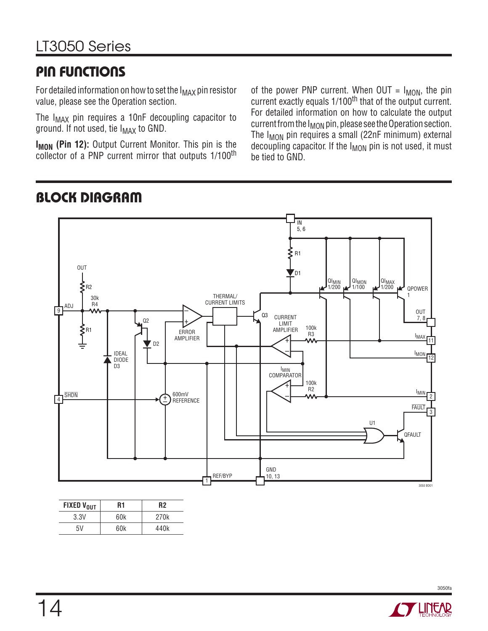### **PIN FUNCTIONS**

**BLOCK DIAGRAM**

For detailed information on how to set the  $I_{MAX}$  pin resistor value, please see the Operation section.

The  $I_{MAX}$  pin requires a 10nF decoupling capacitor to ground. If not used, tie  $I_{MAX}$  to GND.

**I<sub>MON</sub> (Pin 12):** Output Current Monitor. This pin is the collector of a PNP current mirror that outputs 1/100<sup>th</sup>

of the power PNP current. When  $OUT = I_{MON}$ , the pin current exactly equals 1/100<sup>th</sup> that of the output current. For detailed information on how to calculate the output current from the  $I_{MON}$  pin, please see the Operation section. The  $I_{MON}$  pin requires a small (22nF minimum) external decoupling capacitor. If the I<sub>MON</sub> pin is not used, it must be tied to GND.

#### $\overline{1}$ – + +  $\overline{A}$  SHDN  $\overline{A}$   $\overline{B}$  are  $\overline{A}$   $\overline{B}$  are  $\overline{B}$  are  $\overline{B}$  are  $\overline{B}$  are  $\overline{B}$  are  $\overline{B}$  are  $\overline{B}$  are  $\overline{B}$  are  $\overline{B}$  are  $\overline{B}$  are  $\overline{B}$  are  $\overline{B}$  are  $\overline{B}$  are  $\overline{B}$  $\sqrt{9}$ 11 12 2 3 1  $\overline{\mathsf{I}}$ 5, 6  $\mathsf{\Sigma}$  R1  $\sum_{\pm}^{R1}$  $\n <sub>D1</sub>\n$ Q3 QIMIN  $1/200$ QI<sub>MON</sub><br>1/100 QI<sub>MAX</sub><br>1/200 0POWER 1 I<sub>MAX</sub> IMIN FAULT I<sub>MON</sub> QFAULT U1 GND<br>10, 13 REF/BYP **SHDN** ADJ 30k R4 OUT IDEAL DIODE D3  $0<sub>2</sub>$ D2 ERROR AMPLIFIER THERMAL/ CURRENT LIMITS CURRENT LIMIT AMPLIFIER 100k R3 IMIN **COMPARATOR** 100k R2 REFERENCE 3050 BD01 OUT 7, 8  $+$  $\frac{1}{\pi}$  $\xi_{\tiny{\sf R2}}$

| <b>FIXED VOUT</b> | R1  | R <sub>2</sub>   |
|-------------------|-----|------------------|
| 3.3V              | 60k | 270 <sub>k</sub> |
| 5V                | 60k | 440k             |





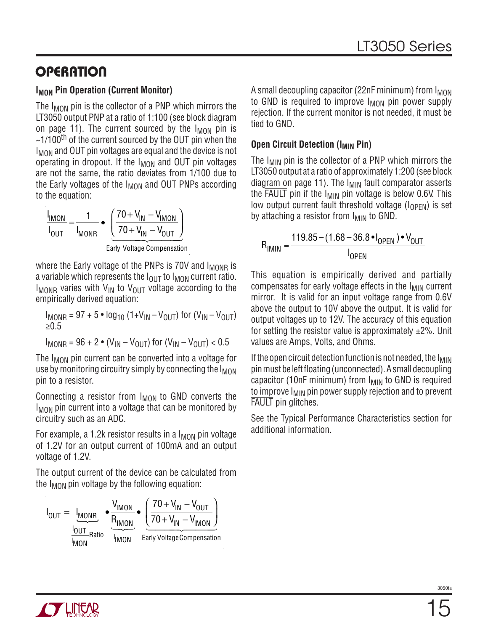### **OPERATION**

### **I<sub>MON</sub>** Pin Operation (Current Monitor)

The  $I_{MON}$  pin is the collector of a PNP which mirrors the LT3050 output PNP at a ratio of 1:100 (see block diagram on page 11). The current sourced by the  $I_{MON}$  pin is  $\sim$ 1/100<sup>th</sup> of the current sourced by the OUT pin when the  $I_{MON}$  and OUT pin voltages are equal and the device is not operating in dropout. If the  $I_{MON}$  and OUT pin voltages are not the same, the ratio deviates from 1/100 due to the Early voltages of the  $I_{MON}$  and OUT PNPs according to the equation:

$$
\frac{I_{IMON}}{I_{OUT}} = \frac{1}{I_{MONR}} \bullet \left( \frac{70 + V_{IN} - V_{IMON}}{70 + V_{IN} - V_{OUT}} \right)
$$

Early Voltage Compensation

where the Early voltage of the PNPs is 70V and  $I_{MONR}$  is a variable which represents the  $I_{\text{OUT}}$  to  $I_{\text{MON}}$  current ratio.  $I_{MONR}$  varies with  $V_{IN}$  to  $V_{OUT}$  voltage according to the empirically derived equation:

$$
I_{MONR} = 97 + 5 \cdot \log_{10} (1 + V_{IN} - V_{OUT})
$$
 for  $(V_{IN} - V_{OUT})$   
\n $\ge 0.5$ 

 $I_{MONR} = 96 + 2 \cdot (V_{IN} - V_{OIII})$  for  $(V_{IN} - V_{OIII})$  < 0.5

The I<sub>MON</sub> pin current can be converted into a voltage for use by monitoring circuitry simply by connecting the  $I_{MON}$ pin to a resistor.

Connecting a resistor from  $I_{MON}$  to GND converts the  $I_{MON}$  pin current into a voltage that can be monitored by circuitry such as an ADC.

For example, a 1.2k resistor results in a  $I_{MON}$  pin voltage of 1.2V for an output current of 100mA and an output voltage of 1.2V.

The output current of the device can be calculated from the  $I_{MON}$  pin voltage by the following equation:

$$
I_{OUT} = I_{MONR} \cdot \frac{V_{IMON}}{R_{IMON}} \cdot \frac{(70 + V_{IN} - V_{OUT})}{(70 + V_{IN} - V_{IMON})}
$$
  
Equation 1000  
Early VoltageComparison

A small decoupling capacitor (22nF minimum) from  $I_{MON}$ to GND is required to improve  $I_{MON}$  pin power supply rejection. If the current monitor is not needed, it must be tied to GND.

### **Open Circuit Detection (IMIN Pin)**

The  $I_{\text{MIN}}$  pin is the collector of a PNP which mirrors the LT3050 output at a ratio of approximately 1:200 (see block diagram on page 11). The  $I_{MIN}$  fault comparator asserts the  $\overline{FAULT}$  pin if the  $I_{MIN}$  pin voltage is below 0.6V. This low output current fault threshold voltage  $(I_{\text{OPFN}})$  is set by attaching a resistor from  $I_{MIN}$  to GND.

$$
R_{IMIN} = \frac{119.85 - (1.68 - 36.8 \cdot I_{OPEN}) \cdot V_{OUT}}{I_{OPEN}}
$$

This equation is empirically derived and partially compensates for early voltage effects in the  $I_{\text{MIN}}$  current mirror. It is valid for an input voltage range from 0.6V above the output to 10V above the output. It is valid for output voltages up to 12V. The accuracy of this equation for setting the resistor value is approximately  $\pm 2\%$ . Unit values are Amps, Volts, and Ohms.

If the open circuit detection function is not needed, the  $I_{\text{MIN}}$ pin must be left floating (unconnected). A small decoupling capacitor (10nF minimum) from  $I_{MIN}$  to GND is required to improve  $I_{MIN}$  pin power supply rejection and to prevent FAULT pin glitches.

See the Typical Performance Characteristics section for additional information.

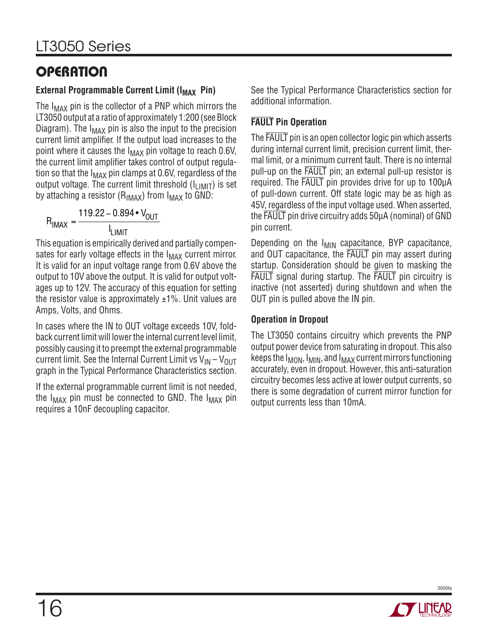# **OPERATION**

### **External Programmable Current Limit (I<sub>MAX</sub> Pin)**

The  $I_{MAX}$  pin is the collector of a PNP which mirrors the LT3050 output at a ratio of approximately 1:200 (see Block Diagram). The  $I_{MAX}$  pin is also the input to the precision current limit amplifier. If the output load increases to the point where it causes the  $I_{MAX}$  pin voltage to reach 0.6V, the current limit amplifier takes control of output regulation so that the  $I_{MAX}$  pin clamps at 0.6V, regardless of the output voltage. The current limit threshold  $(I_{LIMIT})$  is set by attaching a resistor ( $R_{IMAX}$ ) from  $I_{MAX}$  to GND:

$$
R_{IMAX} = \frac{119.22 - 0.894 \cdot V_{OUT}}{I_{LIMIT}}
$$

This equation is empirically derived and partially compensates for early voltage effects in the I<sub>MAX</sub> current mirror. It is valid for an input voltage range from 0.6V above the output to 10V above the output. It is valid for output voltages up to 12V. The accuracy of this equation for setting the resistor value is approximately  $\pm 1\%$ . Unit values are Amps, Volts, and Ohms.

In cases where the IN to OUT voltage exceeds 10V, foldback current limit will lower the internal current level limit, possibly causing it to preempt the external programmable current limit. See the Internal Current Limit vs  $V_{IN} - V_{OUIT}$ graph in the Typical Performance Characteristics section.

If the external programmable current limit is not needed, the  $I_{MAX}$  pin must be connected to GND. The  $I_{MAX}$  pin requires a 10nF decoupling capacitor.

See the Typical Performance Characteristics section for additional information.

### **FAULT Pin Operation**

The FAULT pin is an open collector logic pin which asserts during internal current limit, precision current limit, thermal limit, or a minimum current fault. There is no internal pull-up on the FAULT pin; an external pull-up resistor is required. The FAULT pin provides drive for up to 100μA of pull-down current. Off state logic may be as high as 45V, regardless of the input voltage used. When asserted, the FAULT pin drive circuitry adds 50μA (nominal) of GND pin current.

Depending on the  $I_{\text{MIN}}$  capacitance, BYP capacitance, and OUT capacitance, the FAULT pin may assert during startup. Consideration should be given to masking the FAULT signal during startup. The FAULT pin circuitry is inactive (not asserted) during shutdown and when the OUT pin is pulled above the IN pin.

### **Operation in Dropout**

The LT3050 contains circuitry which prevents the PNP output power device from saturating in dropout. This also keeps the  $I_{MON}$ ,  $I_{MIN}$ , and  $I_{MAX}$  current mirrors functioning accurately, even in dropout. However, this anti-saturation circuitry becomes less active at lower output currents, so there is some degradation of current mirror function for output currents less than 10mA.

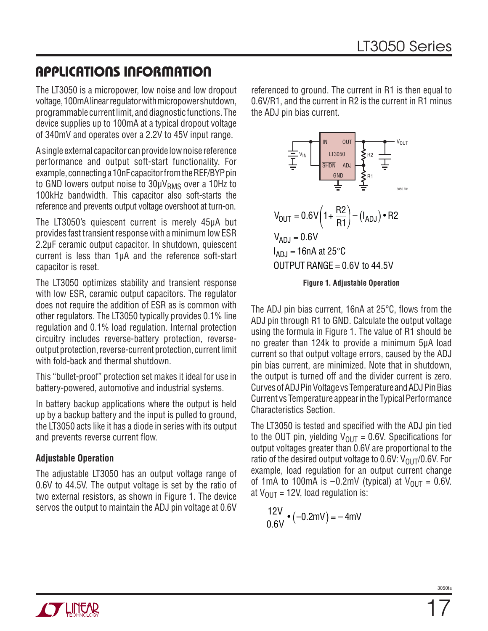The LT3050 is a micropower, low noise and low dropout voltage, 100mA linear regulator with micropower shutdown, programmable current limit, and diagnostic functions. The device supplies up to 100mA at a typical dropout voltage of 340mV and operates over a 2.2V to 45V input range.

A single external capacitor can provide low noise reference performance and output soft-start functionality. For example, connecting a 10nF capacitor from the REF/BYP pin to GND lowers output noise to  $30 \mu V_{RMS}$  over a 10Hz to 100kHz bandwidth. This capacitor also soft-starts the reference and prevents output voltage overshoot at turn-on.

The LT3050's quiescent current is merely 45μA but provides fast transient response with a minimum low ESR 2.2μF ceramic output capacitor. In shutdown, quiescent current is less than 1μA and the reference soft-start capacitor is reset.

The LT3050 optimizes stability and transient response with low ESR, ceramic output capacitors. The regulator does not require the addition of ESR as is common with other regulators. The LT3050 typically provides 0.1% line regulation and 0.1% load regulation. Internal protection circuitry includes reverse-battery protection, reverseoutput protection, reverse-current protection, current limit with fold-back and thermal shutdown.

This "bullet-proof" protection set makes it ideal for use in battery-powered, automotive and industrial systems.

In battery backup applications where the output is held up by a backup battery and the input is pulled to ground, the LT3050 acts like it has a diode in series with its output and prevents reverse current flow.

### **Adjustable Operation**

The adjustable LT3050 has an output voltage range of 0.6V to 44.5V. The output voltage is set by the ratio of two external resistors, as shown in Figure 1. The device servos the output to maintain the ADJ pin voltage at 0.6V

referenced to ground. The current in R1 is then equal to 0.6V/R1, and the current in R2 is the current in R1 minus the ADJ pin bias current.



**Figure 1. Adjustable Operation**

The ADJ pin bias current, 16nA at  $25^{\circ}$ C, flows from the ADJ pin through R1 to GND. Calculate the output voltage using the formula in Figure 1. The value of R1 should be no greater than 124k to provide a minimum 5μA load current so that output voltage errors, caused by the ADJ pin bias current, are minimized. Note that in shutdown, the output is turned off and the divider current is zero. Curves of ADJ Pin Voltage vs Temperature and ADJ Pin Bias Current vs Temperature appear in the Typical Performance Characteristics Section.

The LT3050 is tested and specified with the ADJ pin tied to the OUT pin, yielding  $V_{\text{OUT}} = 0.6V$ . Specifications for output voltages greater than 0.6V are proportional to the ratio of the desired output voltage to 0.6V:  $V_{\text{OUT}}/0.6V$ . For example, load regulation for an output current change of 1mA to 100mA is  $-0.2$ mV (typical) at  $V_{\text{OUT}} = 0.6$ V. at  $V_{OUT}$  = 12V, load regulation is:

$$
\frac{12V}{0.6V} \cdot (-0.2mV) = -4mV
$$

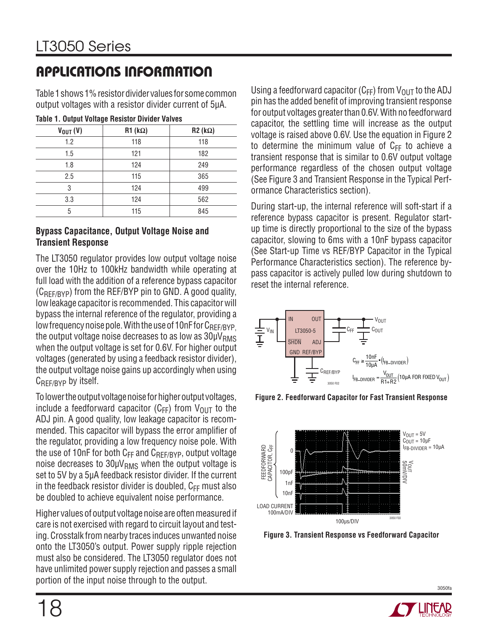Table 1 shows 1% resistor divider values for some common output voltages with a resistor divider current of 5μA.

| -            |                |                |  |  |
|--------------|----------------|----------------|--|--|
| $V_{OUT}(V)$ | $R1 (k\Omega)$ | $R2 (k\Omega)$ |  |  |
| 1.2          | 118            | 118            |  |  |
| 1.5          | 121            | 182            |  |  |
| 1.8          | 124            | 249            |  |  |
| 2.5          | 115            | 365            |  |  |
| 3            | 124            | 499            |  |  |
| 3.3          | 124            | 562            |  |  |
| 5            | 115            | 845            |  |  |

#### **Bypass Capacitance, Output Voltage Noise and Transient Response**

The LT3050 regulator provides low output voltage noise over the 10Hz to 100kHz bandwidth while operating at full load with the addition of a reference bypass capacitor  $(C_{REF/RYP})$  from the REF/BYP pin to GND. A good quality, low leakage capacitor is recommended. This capacitor will bypass the internal reference of the regulator, providing a low frequency noise pole. With the use of 10nF for  $C_{\text{REF/RYP}}$ the output voltage noise decreases to as low as  $30 \mu V_{RMS}$ when the output voltage is set for 0.6V. For higher output voltages (generated by using a feedback resistor divider), the output voltage noise gains up accordingly when using CREF/BYP by itself.

To lower the output voltage noise for higher output voltages, include a feedforward capacitor ( $C_{FF}$ ) from  $V_{OUT}$  to the ADJ pin. A good quality, low leakage capacitor is recommended. This capacitor will bypass the error amplifier of the regulator, providing a low frequency noise pole. With the use of 10nF for both  $C_{FF}$  and  $C_{REF/BYP}$ , output voltage noise decreases to  $30\mu V_{RMS}$  when the output voltage is set to 5V by a 5μA feedback resistor divider. If the current in the feedback resistor divider is doubled,  $C_{FF}$  must also be doubled to achieve equivalent noise performance.

Higher values of output voltage noise are often measured if care is not exercised with regard to circuit layout and testing. Crosstalk from nearby traces induces unwanted noise onto the LT3050's output. Power supply ripple rejection must also be considered. The LT3050 regulator does not have unlimited power supply rejection and passes a small portion of the input noise through to the output.

Using a feedforward capacitor ( $C_{FF}$ ) from  $V_{OUT}$  to the ADJ pin has the added benefit of improving transient response for output voltages greater than 0.6V. With no feedforward capacitor, the settling time will increase as the output voltage is raised above 0.6V. Use the equation in Figure 2 to determine the minimum value of  $C_{FF}$  to achieve a transient response that is similar to 0.6V output voltage performance regardless of the chosen output voltage (See Figure 3 and Transient Response in the Typical Performance Characteristics section).

During start-up, the internal reference will soft-start if a reference bypass capacitor is present. Regulator startup time is directly proportional to the size of the bypass capacitor, slowing to 6ms with a 10nF bypass capacitor (See Start-up Time vs REF/BYP Capacitor in the Typical Performance Characteristics section). The reference bypass capacitor is actively pulled low during shutdown to reset the internal reference.



**Figure 2. Feedforward Capacitor for Fast Transient Response**



**Figure 3. Transient Response vs Feedforward Capacitor**

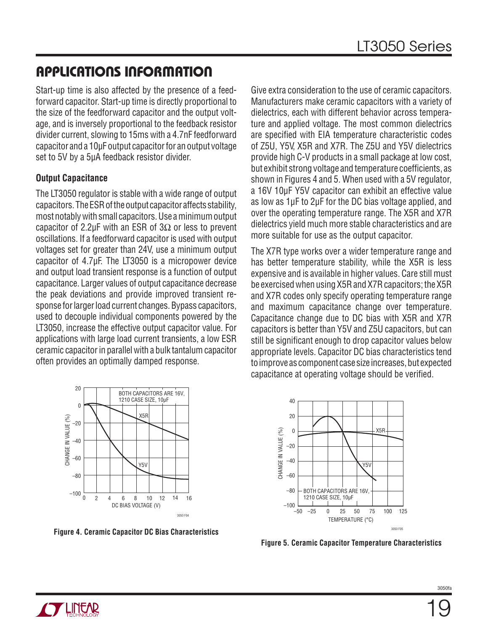Start-up time is also affected by the presence of a feedforward capacitor. Start-up time is directly proportional to the size of the feedforward capacitor and the output voltage, and is inversely proportional to the feedback resistor divider current, slowing to 15ms with a 4.7nF feedforward capacitor and a 10μF output capacitor for an output voltage set to 5V by a 5μA feedback resistor divider.

#### **Output Capacitance**

The LT3050 regulator is stable with a wide range of output capacitors. The ESR of the output capacitor affects stability, most notably with small capacitors. Use a minimum output capacitor of 2.2μF with an ESR of 3 $\Omega$  or less to prevent oscillations. If a feedforward capacitor is used with output voltages set for greater than 24V, use a minimum output capacitor of 4.7μF. The LT3050 is a micropower device and output load transient response is a function of output capacitance. Larger values of output capacitance decrease the peak deviations and provide improved transient response for larger load current changes. Bypass capacitors, used to decouple individual components powered by the LT3050, increase the effective output capacitor value. For applications with large load current transients, a low ESR ceramic capacitor in parallel with a bulk tantalum capacitor often provides an optimally damped response.



**Figure 4. Ceramic Capacitor DC Bias Characteristics**

Give extra consideration to the use of ceramic capacitors. Manufacturers make ceramic capacitors with a variety of dielectrics, each with different behavior across temperature and applied voltage. The most common dielectrics are specified with EIA temperature characteristic codes of Z5U, Y5V, X5R and X7R. The Z5U and Y5V dielectrics provide high C-V products in a small package at low cost, but exhibit strong voltage and temperature coefficients, as shown in Figures 4 and 5. When used with a 5V regulator, a 16V 10μF Y5V capacitor can exhibit an effective value as low as 1μF to 2μF for the DC bias voltage applied, and over the operating temperature range. The X5R and X7R dielectrics yield much more stable characteristics and are more suitable for use as the output capacitor.

The X7R type works over a wider temperature range and has better temperature stability, while the X5R is less expensive and is available in higher values. Care still must be exercised when using X5R and X7R capacitors; the X5R and X7R codes only specify operating temperature range and maximum capacitance change over temperature. Capacitance change due to DC bias with X5R and X7R capacitors is better than Y5V and Z5U capacitors, but can still be significant enough to drop capacitor values below appropriate levels. Capacitor DC bias characteristics tend to improve as component case size increases, but expected capacitance at operating voltage should be verified.



**Figure 5. Ceramic Capacitor Temperature Characteristics**

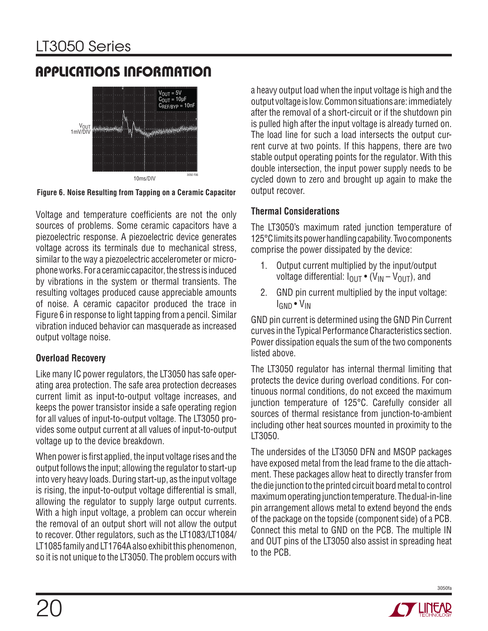# LT3050 Series

### **APPLICATIONS INFORMATION**



**Figure 6. Noise Resulting from Tapping on a Ceramic Capacitor**

Voltage and temperature coefficients are not the only sources of problems. Some ceramic capacitors have a piezoelectric response. A piezoelectric device generates voltage across its terminals due to mechanical stress, similar to the way a piezoelectric accelerometer or microphone works. For a ceramic capacitor, the stress is induced by vibrations in the system or thermal transients. The resulting voltages produced cause appreciable amounts of noise. A ceramic capacitor produced the trace in Figure 6 in response to light tapping from a pencil. Similar vibration induced behavior can masquerade as increased output voltage noise.

#### **Overload Recovery**

Like many IC power regulators, the LT3050 has safe operating area protection. The safe area protection decreases current limit as input-to-output voltage increases, and keeps the power transistor inside a safe operating region for all values of input-to-output voltage. The LT3050 provides some output current at all values of input-to-output voltage up to the device breakdown.

When power is first applied, the input voltage rises and the output follows the input; allowing the regulator to start-up into very heavy loads. During start-up, as the input voltage is rising, the input-to-output voltage differential is small, allowing the regulator to supply large output currents. With a high input voltage, a problem can occur wherein the removal of an output short will not allow the output to recover. Other regulators, such as the LT1083/LT1084/ LT1085 family and LT1764A also exhibit this phenomenon, so it is not unique to the LT3050. The problem occurs with

a heavy output load when the input voltage is high and the output voltage is low. Common situations are: immediately after the removal of a short-circuit or if the shutdown pin is pulled high after the input voltage is already turned on. The load line for such a load intersects the output current curve at two points. If this happens, there are two stable output operating points for the regulator. With this double intersection, the input power supply needs to be cycled down to zero and brought up again to make the output recover.

### **Thermal Considerations**

The LT3050's maximum rated junction temperature of 125°C limits its power handling capability. Two components comprise the power dissipated by the device:

- 1. Output current multiplied by the input/output voltage differential:  $I_{\text{OUT}} \cdot (V_{\text{IN}} - V_{\text{OUT}})$ , and
- 2. GND pin current multiplied by the input voltage: IGND • VIN

GND pin current is determined using the GND Pin Current curves in the Typical Performance Characteristics section. Power dissipation equals the sum of the two components listed above.

The LT3050 regulator has internal thermal limiting that protects the device during overload conditions. For continuous normal conditions, do not exceed the maximum junction temperature of 125°C. Carefully consider all sources of thermal resistance from junction-to-ambient including other heat sources mounted in proximity to the LT3050.

The undersides of the LT3050 DFN and MSOP packages have exposed metal from the lead frame to the die attachment. These packages allow heat to directly transfer from the die junction to the printed circuit board metal to control maximum operating junction temperature. The dual-in-line pin arrangement allows metal to extend beyond the ends of the package on the topside (component side) of a PCB. Connect this metal to GND on the PCB. The multiple IN and OUT pins of the LT3050 also assist in spreading heat to the PCB.

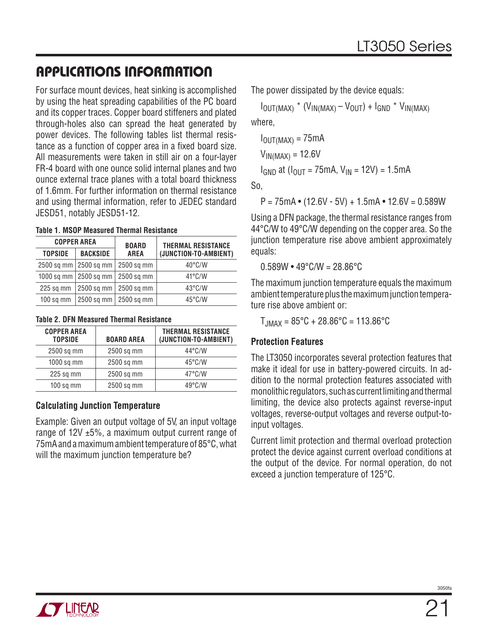For surface mount devices, heat sinking is accomplished by using the heat spreading capabilities of the PC board and its copper traces. Copper board stiffeners and plated through-holes also can spread the heat generated by power devices. The following tables list thermal resistance as a function of copper area in a fixed board size. All measurements were taken in still air on a four-layer FR-4 board with one ounce solid internal planes and two ounce external trace planes with a total board thickness of 1.6mm. For further information on thermal resistance and using thermal information, refer to JEDEC standard JESD51, notably JESD51-12.

**Table 1. MSOP Measured Thermal Resistance**

|                | <b>COPPER AREA</b>      | <b>BOARD</b> | <b>THERMAL RESISTANCE</b> |
|----------------|-------------------------|--------------|---------------------------|
| <b>TOPSIDE</b> | <b>BACKSIDE</b>         | <b>AREA</b>  | (JUNCTION-TO-AMBIENT)     |
|                | 2500 sq mm   2500 sq mm | 2500 sq mm   | $40^{\circ}$ C/W          |
|                | 1000 sq mm   2500 sq mm | 2500 sq mm   | $41^{\circ}$ C/W          |
| $225$ sq mm    | $2500$ sq mm            | 2500 sq mm   | $43^{\circ}$ C/W          |
| $100$ sq mm    | 2500 sq mm              | 2500 sq mm   | $45^{\circ}$ C/W          |

#### **Table 2. DFN Measured Thermal Resistance**

| <b>COPPER AREA</b><br><b>TOPSIDE</b> | <b>BOARD AREA</b> | <b>THERMAL RESISTANCE</b><br>(JUNCTION-TO-AMBIENT) |
|--------------------------------------|-------------------|----------------------------------------------------|
| 2500 sq mm                           | 2500 sq mm        | $44^{\circ}$ C/W                                   |
| $1000$ sq mm                         | 2500 sq mm        | $45^{\circ}$ C/W                                   |
| 225 sq mm                            | 2500 sq mm        | $47^{\circ}$ C/W                                   |
| $100$ sq mm                          | 2500 sq mm        | $49^{\circ}$ C/W                                   |
|                                      |                   |                                                    |

### **Calculating Junction Temperature**

Example: Given an output voltage of 5V, an input voltage range of  $12V \pm 5$ %, a maximum output current range of 75mA and a maximum ambient temperature of 85°C, what will the maximum junction temperature be?

The power dissipated by the device equals:

 $I_{\text{OUT}(MAX)}$  \*  $(V_{\text{IN}(MAX)} - V_{\text{OUT}}) + I_{\text{GND}}$  \*  $V_{\text{IN}(MAX)}$ 

where,

```
I_{\text{OUT} (MAX)} = 75 \text{mA}
```
 $V_{IN(MAX)} = 12.6V$ 

 $I_{GND}$  at  $(I_{OUT} = 75mA, V_{IN} = 12V) = 1.5mA$ 

So,

 $P = 75mA \cdot (12.6V - 5V) + 1.5mA \cdot 12.6V = 0.589W$ 

Using a DFN package, the thermal resistance ranges from 44°C/W to 49°C/W depending on the copper area. So the junction temperature rise above ambient approximately equals:

 $0.589W \cdot 49^{\circ}$ C/W = 28.86 $^{\circ}$ C

The maximum junction temperature equals the maximum ambient temperature plus the maximum junction temperature rise above ambient or:

 $T_{JMAX} = 85^{\circ}C + 28.86^{\circ}C = 113.86^{\circ}C$ 

### **Protection Features**

The LT3050 incorporates several protection features that make it ideal for use in battery-powered circuits. In addition to the normal protection features associated with monolithic regulators, such as current limiting and thermal limiting, the device also protects against reverse-input voltages, reverse-output voltages and reverse output-toinput voltages.

Current limit protection and thermal overload protection protect the device against current overload conditions at the output of the device. For normal operation, do not exceed a junction temperature of 125°C.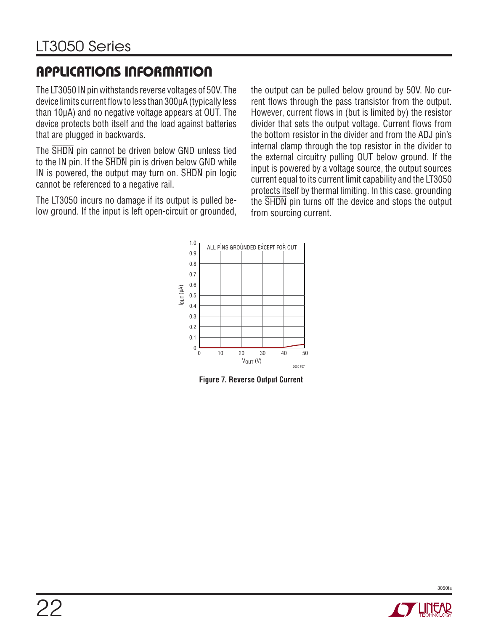The LT3050 IN pin withstands reverse voltages of 50V. The device limits current flow to less than 300uA (typically less than 10μA) and no negative voltage appears at OUT. The device protects both itself and the load against batteries that are plugged in backwards.

The SHDN pin cannot be driven below GND unless tied to the IN pin. If the  $\overline{\text{SHDN}}$  pin is driven below GND while IN is powered, the output may turn on. SHDN pin logic cannot be referenced to a negative rail.

The LT3050 incurs no damage if its output is pulled below ground. If the input is left open-circuit or grounded,

the output can be pulled below ground by 50V. No current flows through the pass transistor from the output. However, current flows in (but is limited by) the resistor divider that sets the output voltage. Current flows from the bottom resistor in the divider and from the ADJ pin's internal clamp through the top resistor in the divider to the external circuitry pulling OUT below ground. If the input is powered by a voltage source, the output sources current equal to its current limit capability and the LT3050 protects itself by thermal limiting. In this case, grounding the SHDN pin turns off the device and stops the output from sourcing current.



**Figure 7. Reverse Output Current** 

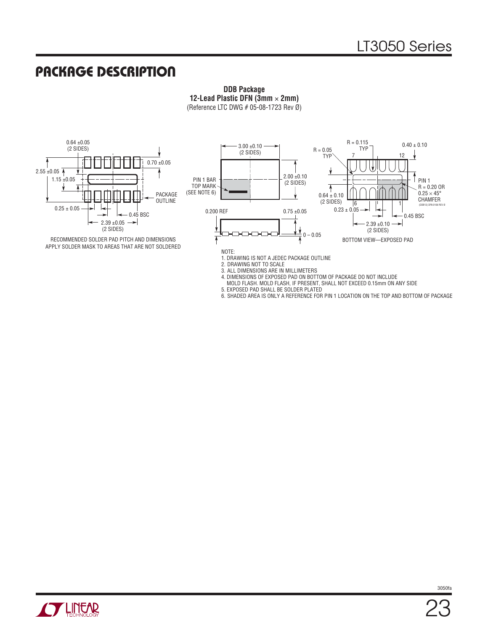### **PACKAGE DESCRIPTION**

**DDB Package 12-Lead Plastic DFN (3mm** × **2mm)** (Reference LTC DWG # 05-08-1723 Rev Ø)



RECOMMENDED SOLDER PAD PITCH AND DIMENSIONS APPLY SOLDER MASK TO AREAS THAT ARE NOT SOLDERED



1. DRAWING IS NOT A JEDEC PACKAGE OUTLINE

2. DRAWING NOT TO SCALE

3. ALL DIMENSIONS ARE IN MILLIMETERS

- 4. DIMENSIONS OF EXPOSED PAD ON BOTTOM OF PACKAGE DO NOT INCLUDE
	- MOLD FLASH. MOLD FLASH, IF PRESENT, SHALL NOT EXCEED 0.15mm ON ANY SIDE
- 5. EXPOSED PAD SHALL BE SOLDER PLATED

6. SHADED AREA IS ONLY A REFERENCE FOR PIN 1 LOCATION ON THE TOP AND BOTTOM OF PACKAGE

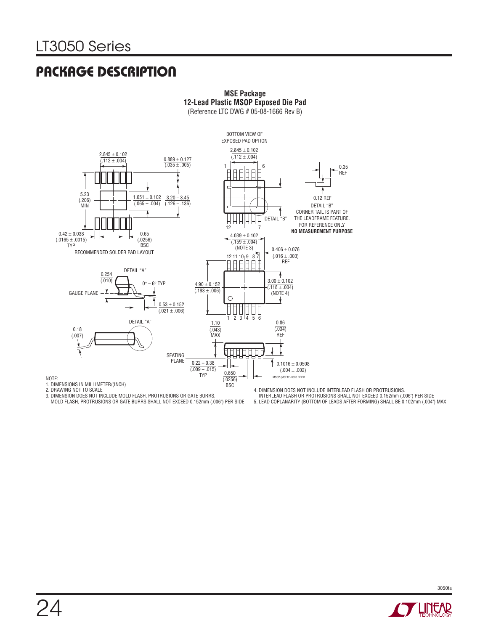### **PACKAGE DESCRIPTION**



**MSE Package 12-Lead Plastic MSOP Exposed Die Pad**

(Reference LTC DWG # 05-08-1666 Rev B)

NOTE:

3. DIMENSION DOES NOT INCLUDE MOLD FLASH, PROTRUSIONS OR GATE BURRS. MOLD FLASH, PROTRUSIONS OR GATE BURRS SHALL NOT EXCEED 0.152mm (.006") PER SIDE

4. DIMENSION DOES NOT INCLUDE INTERLEAD FLASH OR PROTRUSIONS. INTERLEAD FLASH OR PROTRUSIONS SHALL NOT EXCEED 0.152mm (.006") PER SIDE 5. LEAD COPLANARITY (BOTTOM OF LEADS AFTER FORMING) SHALL BE 0.102mm (.004") MAX

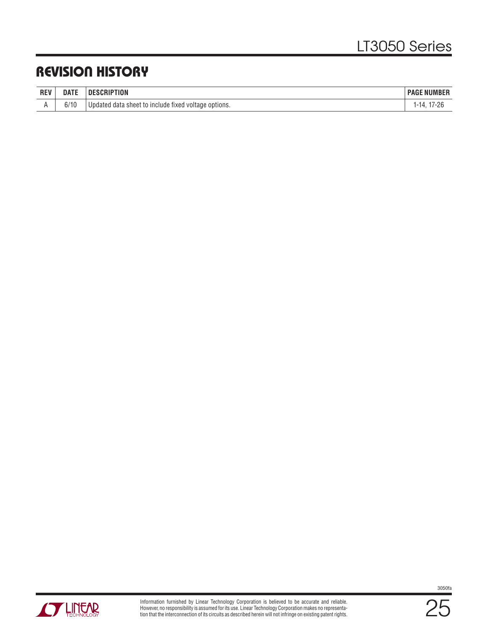### **REVISION HISTORY**

| <b>REV</b> | <b>DATE</b> | <b>DESCRIPTION</b>                                                          | : NUMBER<br>' PAG∟ |
|------------|-------------|-----------------------------------------------------------------------------|--------------------|
|            | O/          | ∣ voltage options.<br>d data sheet to include fixed <sup>.</sup><br>Updated |                    |

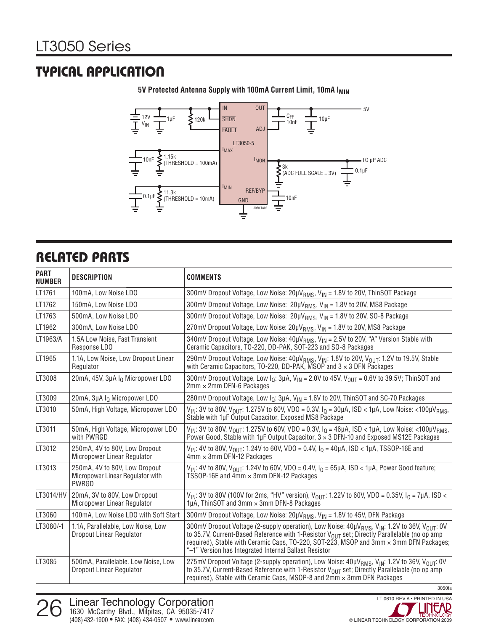### **TYPICAL APPLICATION**



**5V Protected Antenna Supply with 100mA Current Limit, 10mA I<sub>MIN</sub>** 

### **RELATED PARTS**

| <b>PART</b><br><b>NUMBER</b> | <b>DESCRIPTION</b>                                                         | <b>COMMENTS</b>                                                                                                                                                                                                                                                                                                                                                                                  |  |
|------------------------------|----------------------------------------------------------------------------|--------------------------------------------------------------------------------------------------------------------------------------------------------------------------------------------------------------------------------------------------------------------------------------------------------------------------------------------------------------------------------------------------|--|
| LT1761                       | 100mA, Low Noise LDO                                                       | 300mV Dropout Voltage, Low Noise: 20µV <sub>RMS</sub> , V <sub>IN</sub> = 1.8V to 20V, ThinSOT Package                                                                                                                                                                                                                                                                                           |  |
| LT1762                       | 150mA, Low Noise LDO                                                       | 300mV Dropout Voltage, Low Noise: 20µV <sub>RMS</sub> , V <sub>IN</sub> = 1.8V to 20V, MS8 Package                                                                                                                                                                                                                                                                                               |  |
| LT1763                       | 500mA, Low Noise LDO                                                       | 300mV Dropout Voltage, Low Noise: 20µV <sub>RMS</sub> , V <sub>IN</sub> = 1.8V to 20V, SO-8 Package                                                                                                                                                                                                                                                                                              |  |
| LT1962                       | 300mA, Low Noise LDO                                                       | 270mV Dropout Voltage, Low Noise: 20µV <sub>RMS</sub> , V <sub>IN</sub> = 1.8V to 20V, MS8 Package                                                                                                                                                                                                                                                                                               |  |
| LT1963/A                     | 1.5A Low Noise, Fast Transient<br>Response LDO                             | 340mV Dropout Voltage, Low Noise: 40µV <sub>RMS</sub> , V <sub>IN</sub> = 2.5V to 20V, "A" Version Stable with<br>Ceramic Capacitors, TO-220, DD-PAK, SOT-223 and SO-8 Packages                                                                                                                                                                                                                  |  |
| LT1965                       | 1.1A, Low Noise, Low Dropout Linear<br>Regulator                           | 290mV Dropout Voltage, Low Noise: 40µV <sub>RMS</sub> , V <sub>IN</sub> : 1.8V to 20V, V <sub>OUT</sub> : 1.2V to 19.5V, Stable<br>with Ceramic Capacitors, TO-220, DD-PAK, MSOP and $3 \times 3$ DFN Packages                                                                                                                                                                                   |  |
| LT3008                       | 20mA, 45V, 3µA I <sub>O</sub> Micropower LDO                               | 300mV Dropout Voltage, Low $I_0$ : 3µA, V <sub>IN</sub> = 2.0V to 45V, V <sub>OUT</sub> = 0.6V to 39.5V; ThinSOT and<br>$2mm \times 2mm$ DFN-6 Packages                                                                                                                                                                                                                                          |  |
| LT3009                       | 20mA, 3µA Io Micropower LDO                                                | 280mV Dropout Voltage, Low $I_0$ : 3µA, V <sub>IN</sub> = 1.6V to 20V, ThinSOT and SC-70 Packages                                                                                                                                                                                                                                                                                                |  |
| LT3010                       | 50mA, High Voltage, Micropower LDO                                         | $V_{IN}$ : 3V to 80V, $V_{OIII}$ : 1.275V to 60V, VDO = 0.3V, $I_0$ = 30µA, ISD < 1µA, Low Noise: <100µ $V_{RMS}$ ,<br>Stable with 1µF Output Capacitor, Exposed MS8 Package                                                                                                                                                                                                                     |  |
| LT3011                       | 50mA, High Voltage, Micropower LDO<br>with PWRGD                           | $V_{IN}$ : 3V to 80V, $V_{OII}$ 1.275V to 60V, VDO = 0.3V, $I_0$ = 46µA, ISD < 1µA, Low Noise: <100µV <sub>RMS</sub> ,<br>Power Good, Stable with 1µF Output Capacitor, $3 \times 3$ DFN-10 and Exposed MS12E Packages                                                                                                                                                                           |  |
| LT3012                       | 250mA, 4V to 80V, Low Dropout<br>Micropower Linear Regulator               | $V_{IN}$ : 4V to 80V, $V_{OII}$ 1.24V to 60V, VDO = 0.4V, $I_0$ = 40µA, ISD < 1µA, TSSOP-16E and<br>$4 \text{mm} \times 3 \text{mm}$ DFN-12 Packages                                                                                                                                                                                                                                             |  |
| LT3013                       | 250mA, 4V to 80V, Low Dropout<br>Micropower Linear Regulator with<br>PWRGD | $V_{IN}$ : 4V to 80V, $V_{OIII}$ : 1.24V to 60V, VDO = 0.4V, $I_0 = 65 \mu A$ , ISD < 1 $\mu A$ , Power Good feature;<br>TSSOP-16E and 4mm × 3mm DFN-12 Packages                                                                                                                                                                                                                                 |  |
| LT3014/HV                    | 20mA, 3V to 80V, Low Dropout<br>Micropower Linear Regulator                | $V_{IN}$ : 3V to 80V (100V for 2ms, "HV" version), $V_{OIII}$ : 1.22V to 60V, VDO = 0.35V, $I_0 = 7 \mu A$ , ISD <<br>1µA, ThinSOT and 3mm × 3mm DFN-8 Packages                                                                                                                                                                                                                                  |  |
| LT3060                       | 100mA, Low Noise LDO with Soft Start                                       | 300mV Dropout Voltage, Low Noise: 20µV <sub>RMS</sub> , V <sub>IN</sub> = 1.8V to 45V, DFN Package                                                                                                                                                                                                                                                                                               |  |
| LT3080/-1                    | 1.1A, Parallelable, Low Noise, Low<br>Dropout Linear Regulator             | 300mV Dropout Voltage (2-supply operation), Low Noise: 40µV <sub>RMS</sub> , V <sub>IN</sub> : 1.2V to 36V, V <sub>OUT</sub> : 0V<br>to 35.7V, Current-Based Reference with 1-Resistor V <sub>OUT</sub> set; Directly Parallelable (no op amp<br>required), Stable with Ceramic Caps, TO-220, SOT-223, MSOP and 3mm x 3mm DFN Packages;<br>"-1" Version has Integrated Internal Ballast Resistor |  |
| LT3085                       | 500mA, Parallelable. Low Noise, Low<br>Dropout Linear Regulator            | 275mV Dropout Voltage (2-supply operation), Low Noise: 40µV <sub>RMS</sub> , V <sub>IN</sub> : 1.2V to 36V, V <sub>OUT</sub> : 0V<br>to 35.7V, Current-Based Reference with 1-Resistor $V_{OIIT}$ set; Directly Parallelable (no op amp<br>required), Stable with Ceramic Caps, MSOP-8 and 2mm x 3mm DFN Packages                                                                                |  |